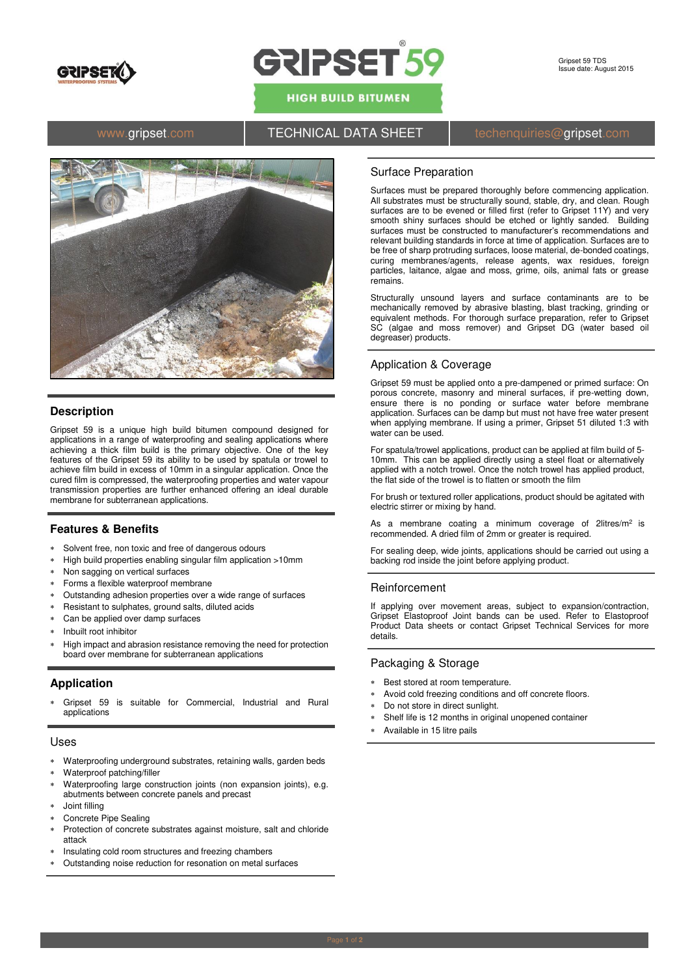

# GRIPSET 59

**HIGH BUILD BITUMEN** 

# www.gripset.com **TECHNICAL DATA SHEET** techenquiries@gripset.com



## **Description**

Gripset 59 is a unique high build bitumen compound designed for applications in a range of waterproofing and sealing applications where achieving a thick film build is the primary objective. One of the key features of the Gripset 59 its ability to be used by spatula or trowel to achieve film build in excess of 10mm in a singular application. Once the cured film is compressed, the waterproofing properties and water vapour transmission properties are further enhanced offering an ideal durable membrane for subterranean applications.

### **Features & Benefits**

- Solvent free, non toxic and free of dangerous odours
- High build properties enabling singular film application >10mm
- Non sagging on vertical surfaces
- Forms a flexible waterproof membrane
- Outstanding adhesion properties over a wide range of surfaces
- Resistant to sulphates, ground salts, diluted acids
- Can be applied over damp surfaces
- Inbuilt root inhibitor
- High impact and abrasion resistance removing the need for protection board over membrane for subterranean applications

## **Application**

 Gripset 59 is suitable for Commercial, Industrial and Rural applications

#### Uses

- Waterproofing underground substrates, retaining walls, garden beds
- Waterproof patching/filler
- Waterproofing large construction joints (non expansion joints), e.g. abutments between concrete panels and precast
- Joint filling
- Concrete Pipe Sealing
- Protection of concrete substrates against moisture, salt and chloride attack
- Insulating cold room structures and freezing chambers
- Outstanding noise reduction for resonation on metal surfaces

#### Surface Preparation

Surfaces must be prepared thoroughly before commencing application. All substrates must be structurally sound, stable, dry, and clean. Rough surfaces are to be evened or filled first (refer to Gripset 11Y) and very smooth shiny surfaces should be etched or lightly sanded. Building surfaces must be constructed to manufacturer's recommendations and relevant building standards in force at time of application. Surfaces are to be free of sharp protruding surfaces, loose material, de-bonded coatings, curing membranes/agents, release agents, wax residues, foreign particles, laitance, algae and moss, grime, oils, animal fats or grease remains.

Structurally unsound layers and surface contaminants are to be mechanically removed by abrasive blasting, blast tracking, grinding or equivalent methods. For thorough surface preparation, refer to Gripset SC (algae and moss remover) and Gripset DG (water based oil degreaser) products.

#### Application & Coverage

Gripset 59 must be applied onto a pre-dampened or primed surface: On porous concrete, masonry and mineral surfaces, if pre-wetting down, ensure there is no ponding or surface water before membrane application. Surfaces can be damp but must not have free water present when applying membrane. If using a primer, Gripset 51 diluted 1:3 with water can be used.

For spatula/trowel applications, product can be applied at film build of 5- 10mm. This can be applied directly using a steel float or alternatively applied with a notch trowel. Once the notch trowel has applied product, the flat side of the trowel is to flatten or smooth the film

For brush or textured roller applications, product should be agitated with electric stirrer or mixing by hand.

As a membrane coating a minimum coverage of  $2$ litres/m<sup>2</sup> is recommended. A dried film of 2mm or greater is required.

For sealing deep, wide joints, applications should be carried out using a backing rod inside the joint before applying product.

#### Reinforcement

If applying over movement areas, subject to expansion/contraction, Gripset Elastoproof Joint bands can be used. Refer to Elastoproof Product Data sheets or contact Gripset Technical Services for more details.

#### Packaging & Storage

- Best stored at room temperature.
- Avoid cold freezing conditions and off concrete floors.
- Do not store in direct sunlight.
- Shelf life is 12 months in original unopened container
- Available in 15 litre pails